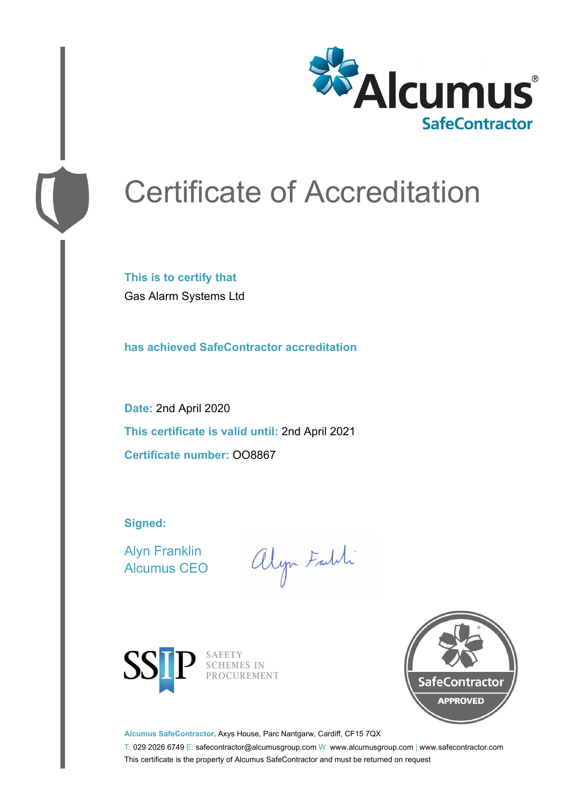

# Certificate of Accreditation

**This is to certify that** Gas Alarm Systems Ltd

**has achieved SafeContractor accreditation**

**Date:** 2nd April 2020 **This certificate is valid until:** 2nd April 2021 **Certificate number:** OO8867

**Signed:**

Alyn Franklin Alcumus CEO

alyn Faith



SAFETY<br>SCHEMES IN PROCUREMENT



**Alcumus SafeContractor,** Axys House, Parc Nantgarw, Cardiff, CF15 7QX

T: 029 2026 6749 E: safecontractor@alcumusgroup.com W: www.alcumusgroup.com | www.safecontractor.com This certificate is the property of Alcumus SafeContractor and must be returned on request